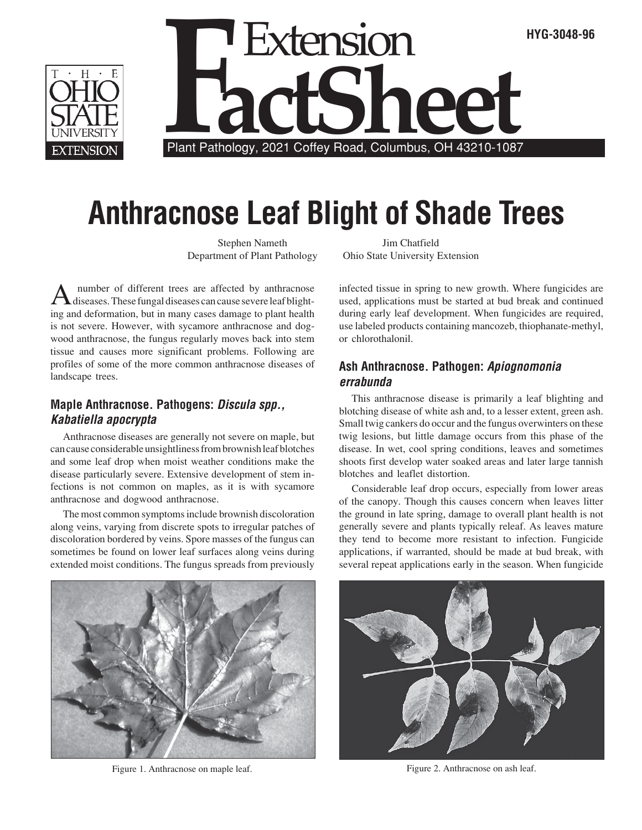



# **Anthracnose Leaf Blight of Shade Trees**

Stephen Nameth Department of Plant Pathology

A number of different trees are affected by anthracnose<br>diseases. These fungal diseases can cause severe leaf blighting and deformation, but in many cases damage to plant health is not severe. However, with sycamore anthracnose and dogwood anthracnose, the fungus regularly moves back into stem tissue and causes more significant problems. Following are profiles of some of the more common anthracnose diseases of landscape trees.

# **Maple Anthracnose. Pathogens: Discula spp., Kabatiella apocrypta**

Anthracnose diseases are generally not severe on maple, but can cause considerable unsightliness from brownish leaf blotches and some leaf drop when moist weather conditions make the disease particularly severe. Extensive development of stem infections is not common on maples, as it is with sycamore anthracnose and dogwood anthracnose.

The most common symptoms include brownish discoloration along veins, varying from discrete spots to irregular patches of discoloration bordered by veins. Spore masses of the fungus can sometimes be found on lower leaf surfaces along veins during extended moist conditions. The fungus spreads from previously

Jim Chatfield Ohio State University Extension

infected tissue in spring to new growth. Where fungicides are used, applications must be started at bud break and continued during early leaf development. When fungicides are required, use labeled products containing mancozeb, thiophanate-methyl, or chlorothalonil.

## **Ash Anthracnose. Pathogen: Apiognomonia errabunda**

This anthracnose disease is primarily a leaf blighting and blotching disease of white ash and, to a lesser extent, green ash. Small twig cankers do occur and the fungus overwinters on these twig lesions, but little damage occurs from this phase of the disease. In wet, cool spring conditions, leaves and sometimes shoots first develop water soaked areas and later large tannish blotches and leaflet distortion.

Considerable leaf drop occurs, especially from lower areas of the canopy. Though this causes concern when leaves litter the ground in late spring, damage to overall plant health is not generally severe and plants typically releaf. As leaves mature they tend to become more resistant to infection. Fungicide applications, if warranted, should be made at bud break, with several repeat applications early in the season. When fungicide



Figure 1. Anthracnose on maple leaf.



Figure 2. Anthracnose on ash leaf.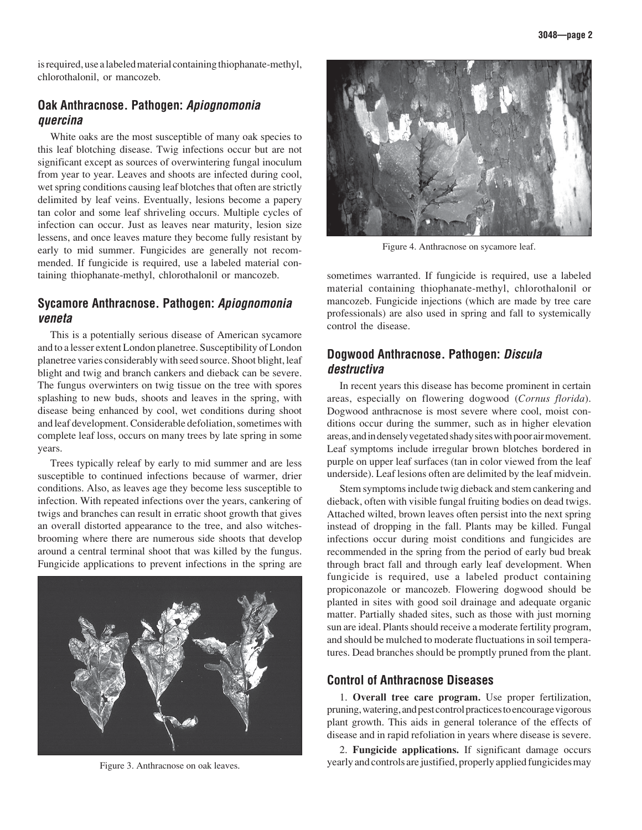is required, use a labeled material containing thiophanate-methyl, chlorothalonil, or mancozeb.

#### **Oak Anthracnose. Pathogen: Apiognomonia quercina**

White oaks are the most susceptible of many oak species to this leaf blotching disease. Twig infections occur but are not significant except as sources of overwintering fungal inoculum from year to year. Leaves and shoots are infected during cool, wet spring conditions causing leaf blotches that often are strictly delimited by leaf veins. Eventually, lesions become a papery tan color and some leaf shriveling occurs. Multiple cycles of infection can occur. Just as leaves near maturity, lesion size lessens, and once leaves mature they become fully resistant by early to mid summer. Fungicides are generally not recommended. If fungicide is required, use a labeled material containing thiophanate-methyl, chlorothalonil or mancozeb.

### **Sycamore Anthracnose. Pathogen: Apiognomonia veneta**

This is a potentially serious disease of American sycamore and to a lesser extent London planetree. Susceptibility of London planetree varies considerably with seed source. Shoot blight, leaf blight and twig and branch cankers and dieback can be severe. The fungus overwinters on twig tissue on the tree with spores splashing to new buds, shoots and leaves in the spring, with disease being enhanced by cool, wet conditions during shoot and leaf development. Considerable defoliation, sometimes with complete leaf loss, occurs on many trees by late spring in some years.

Trees typically releaf by early to mid summer and are less susceptible to continued infections because of warmer, drier conditions. Also, as leaves age they become less susceptible to infection. With repeated infections over the years, cankering of twigs and branches can result in erratic shoot growth that gives an overall distorted appearance to the tree, and also witchesbrooming where there are numerous side shoots that develop around a central terminal shoot that was killed by the fungus. Fungicide applications to prevent infections in the spring are





Figure 4. Anthracnose on sycamore leaf.

sometimes warranted. If fungicide is required, use a labeled material containing thiophanate-methyl, chlorothalonil or mancozeb. Fungicide injections (which are made by tree care professionals) are also used in spring and fall to systemically control the disease.

#### **Dogwood Anthracnose. Pathogen: Discula destructiva**

In recent years this disease has become prominent in certain areas, especially on flowering dogwood (*Cornus florida*). Dogwood anthracnose is most severe where cool, moist conditions occur during the summer, such as in higher elevation areas, and in densely vegetated shady sites with poor air movement. Leaf symptoms include irregular brown blotches bordered in purple on upper leaf surfaces (tan in color viewed from the leaf underside). Leaf lesions often are delimited by the leaf midvein.

Stem symptoms include twig dieback and stem cankering and dieback, often with visible fungal fruiting bodies on dead twigs. Attached wilted, brown leaves often persist into the next spring instead of dropping in the fall. Plants may be killed. Fungal infections occur during moist conditions and fungicides are recommended in the spring from the period of early bud break through bract fall and through early leaf development. When fungicide is required, use a labeled product containing propiconazole or mancozeb. Flowering dogwood should be planted in sites with good soil drainage and adequate organic matter. Partially shaded sites, such as those with just morning sun are ideal. Plants should receive a moderate fertility program, and should be mulched to moderate fluctuations in soil temperatures. Dead branches should be promptly pruned from the plant.

#### **Control of Anthracnose Diseases**

1. **Overall tree care program.** Use proper fertilization, pruning, watering, and pest control practices to encourage vigorous plant growth. This aids in general tolerance of the effects of disease and in rapid refoliation in years where disease is severe.

2. **Fungicide applications.** If significant damage occurs Figure 3. Anthracnose on oak leaves. yearly and controls are justified, properly applied fungicides may